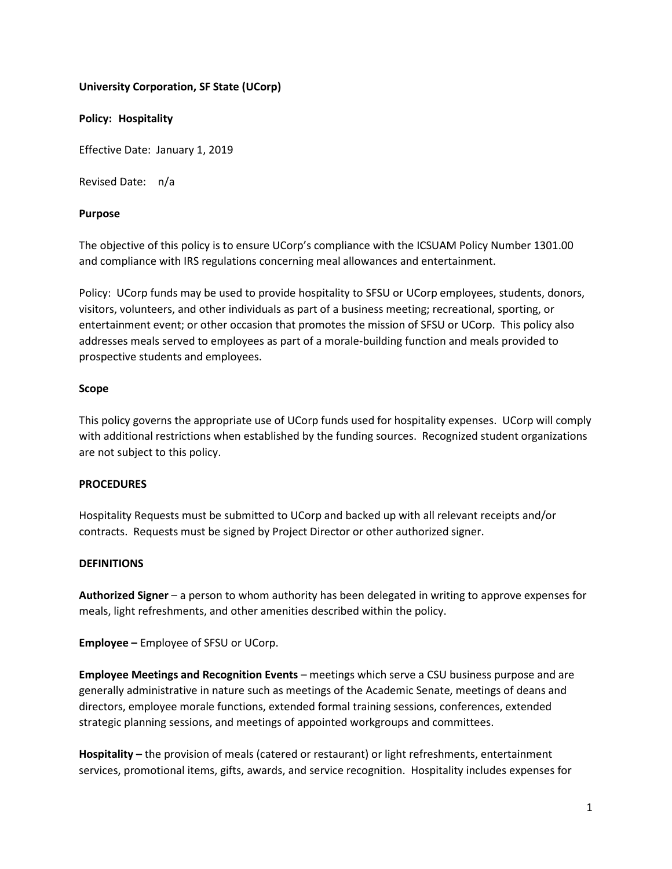### **University Corporation, SF State (UCorp)**

#### **Policy: Hospitality**

Effective Date: January 1, 2019

Revised Date: n/a

### **Purpose**

The objective of this policy is to ensure UCorp's compliance with the ICSUAM Policy Number 1301.00 and compliance with IRS regulations concerning meal allowances and entertainment.

Policy: UCorp funds may be used to provide hospitality to SFSU or UCorp employees, students, donors, visitors, volunteers, and other individuals as part of a business meeting; recreational, sporting, or entertainment event; or other occasion that promotes the mission of SFSU or UCorp. This policy also addresses meals served to employees as part of a morale-building function and meals provided to prospective students and employees.

### **Scope**

This policy governs the appropriate use of UCorp funds used for hospitality expenses. UCorp will comply with additional restrictions when established by the funding sources. Recognized student organizations are not subject to this policy.

# **PROCEDURES**

Hospitality Requests must be submitted to UCorp and backed up with all relevant receipts and/or contracts. Requests must be signed by Project Director or other authorized signer.

#### **DEFINITIONS**

**Authorized Signer** – a person to whom authority has been delegated in writing to approve expenses for meals, light refreshments, and other amenities described within the policy.

**Employee –** Employee of SFSU or UCorp.

**Employee Meetings and Recognition Events** – meetings which serve a CSU business purpose and are generally administrative in nature such as meetings of the Academic Senate, meetings of deans and directors, employee morale functions, extended formal training sessions, conferences, extended strategic planning sessions, and meetings of appointed workgroups and committees.

**Hospitality –** the provision of meals (catered or restaurant) or light refreshments, entertainment services, promotional items, gifts, awards, and service recognition. Hospitality includes expenses for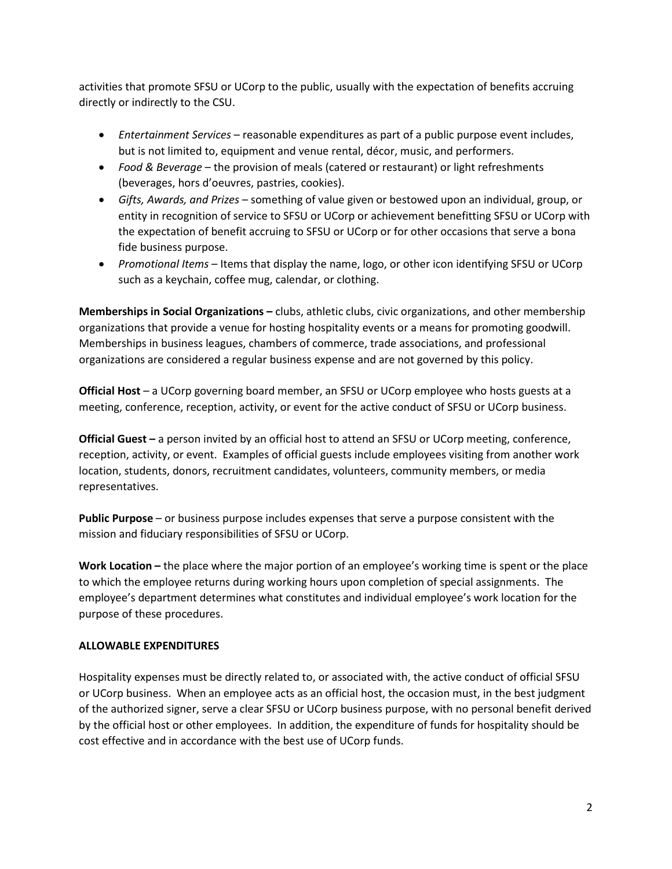activities that promote SFSU or UCorp to the public, usually with the expectation of benefits accruing directly or indirectly to the CSU.

- *Entertainment Services* reasonable expenditures as part of a public purpose event includes, but is not limited to, equipment and venue rental, décor, music, and performers.
- *Food & Beverage* the provision of meals (catered or restaurant) or light refreshments (beverages, hors d'oeuvres, pastries, cookies).
- *Gifts, Awards, and Prizes* something of value given or bestowed upon an individual, group, or entity in recognition of service to SFSU or UCorp or achievement benefitting SFSU or UCorp with the expectation of benefit accruing to SFSU or UCorp or for other occasions that serve a bona fide business purpose.
- *Promotional Items* Items that display the name, logo, or other icon identifying SFSU or UCorp such as a keychain, coffee mug, calendar, or clothing.

**Memberships in Social Organizations –** clubs, athletic clubs, civic organizations, and other membership organizations that provide a venue for hosting hospitality events or a means for promoting goodwill. Memberships in business leagues, chambers of commerce, trade associations, and professional organizations are considered a regular business expense and are not governed by this policy.

**Official Host** – a UCorp governing board member, an SFSU or UCorp employee who hosts guests at a meeting, conference, reception, activity, or event for the active conduct of SFSU or UCorp business.

**Official Guest –** a person invited by an official host to attend an SFSU or UCorp meeting, conference, reception, activity, or event. Examples of official guests include employees visiting from another work location, students, donors, recruitment candidates, volunteers, community members, or media representatives.

**Public Purpose** – or business purpose includes expenses that serve a purpose consistent with the mission and fiduciary responsibilities of SFSU or UCorp.

**Work Location –** the place where the major portion of an employee's working time is spent or the place to which the employee returns during working hours upon completion of special assignments. The employee's department determines what constitutes and individual employee's work location for the purpose of these procedures.

# **ALLOWABLE EXPENDITURES**

Hospitality expenses must be directly related to, or associated with, the active conduct of official SFSU or UCorp business. When an employee acts as an official host, the occasion must, in the best judgment of the authorized signer, serve a clear SFSU or UCorp business purpose, with no personal benefit derived by the official host or other employees. In addition, the expenditure of funds for hospitality should be cost effective and in accordance with the best use of UCorp funds.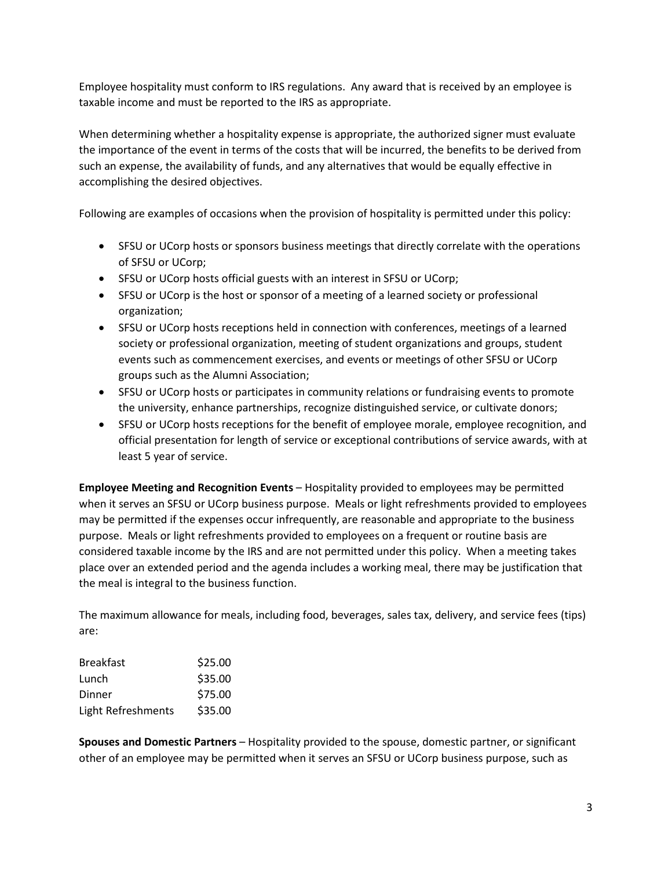Employee hospitality must conform to IRS regulations. Any award that is received by an employee is taxable income and must be reported to the IRS as appropriate.

When determining whether a hospitality expense is appropriate, the authorized signer must evaluate the importance of the event in terms of the costs that will be incurred, the benefits to be derived from such an expense, the availability of funds, and any alternatives that would be equally effective in accomplishing the desired objectives.

Following are examples of occasions when the provision of hospitality is permitted under this policy:

- SFSU or UCorp hosts or sponsors business meetings that directly correlate with the operations of SFSU or UCorp;
- SFSU or UCorp hosts official guests with an interest in SFSU or UCorp;
- SFSU or UCorp is the host or sponsor of a meeting of a learned society or professional organization;
- SFSU or UCorp hosts receptions held in connection with conferences, meetings of a learned society or professional organization, meeting of student organizations and groups, student events such as commencement exercises, and events or meetings of other SFSU or UCorp groups such as the Alumni Association;
- SFSU or UCorp hosts or participates in community relations or fundraising events to promote the university, enhance partnerships, recognize distinguished service, or cultivate donors;
- SFSU or UCorp hosts receptions for the benefit of employee morale, employee recognition, and official presentation for length of service or exceptional contributions of service awards, with at least 5 year of service.

**Employee Meeting and Recognition Events** – Hospitality provided to employees may be permitted when it serves an SFSU or UCorp business purpose. Meals or light refreshments provided to employees may be permitted if the expenses occur infrequently, are reasonable and appropriate to the business purpose. Meals or light refreshments provided to employees on a frequent or routine basis are considered taxable income by the IRS and are not permitted under this policy. When a meeting takes place over an extended period and the agenda includes a working meal, there may be justification that the meal is integral to the business function.

The maximum allowance for meals, including food, beverages, sales tax, delivery, and service fees (tips) are:

| <b>Breakfast</b>   | \$25.00 |
|--------------------|---------|
| Lunch              | \$35.00 |
| Dinner             | \$75.00 |
| Light Refreshments | \$35.00 |

**Spouses and Domestic Partners** – Hospitality provided to the spouse, domestic partner, or significant other of an employee may be permitted when it serves an SFSU or UCorp business purpose, such as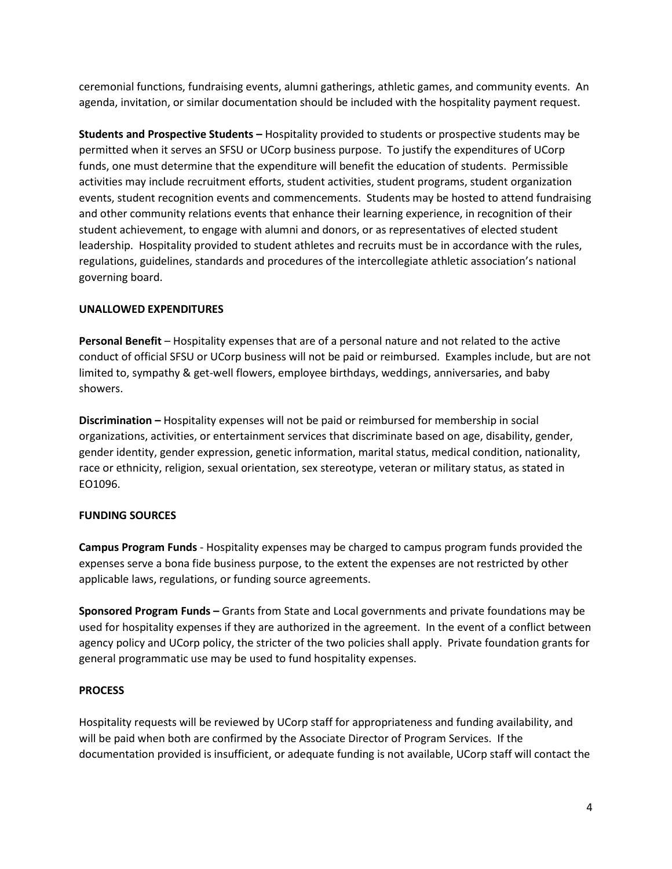ceremonial functions, fundraising events, alumni gatherings, athletic games, and community events. An agenda, invitation, or similar documentation should be included with the hospitality payment request.

**Students and Prospective Students –** Hospitality provided to students or prospective students may be permitted when it serves an SFSU or UCorp business purpose. To justify the expenditures of UCorp funds, one must determine that the expenditure will benefit the education of students. Permissible activities may include recruitment efforts, student activities, student programs, student organization events, student recognition events and commencements. Students may be hosted to attend fundraising and other community relations events that enhance their learning experience, in recognition of their student achievement, to engage with alumni and donors, or as representatives of elected student leadership. Hospitality provided to student athletes and recruits must be in accordance with the rules, regulations, guidelines, standards and procedures of the intercollegiate athletic association's national governing board.

#### **UNALLOWED EXPENDITURES**

**Personal Benefit** – Hospitality expenses that are of a personal nature and not related to the active conduct of official SFSU or UCorp business will not be paid or reimbursed. Examples include, but are not limited to, sympathy & get-well flowers, employee birthdays, weddings, anniversaries, and baby showers.

**Discrimination –** Hospitality expenses will not be paid or reimbursed for membership in social organizations, activities, or entertainment services that discriminate based on age, disability, gender, gender identity, gender expression, genetic information, marital status, medical condition, nationality, race or ethnicity, religion, sexual orientation, sex stereotype, veteran or military status, as stated in EO1096.

# **FUNDING SOURCES**

**Campus Program Funds** - Hospitality expenses may be charged to campus program funds provided the expenses serve a bona fide business purpose, to the extent the expenses are not restricted by other applicable laws, regulations, or funding source agreements.

**Sponsored Program Funds –** Grants from State and Local governments and private foundations may be used for hospitality expenses if they are authorized in the agreement. In the event of a conflict between agency policy and UCorp policy, the stricter of the two policies shall apply. Private foundation grants for general programmatic use may be used to fund hospitality expenses.

# **PROCESS**

Hospitality requests will be reviewed by UCorp staff for appropriateness and funding availability, and will be paid when both are confirmed by the Associate Director of Program Services. If the documentation provided is insufficient, or adequate funding is not available, UCorp staff will contact the